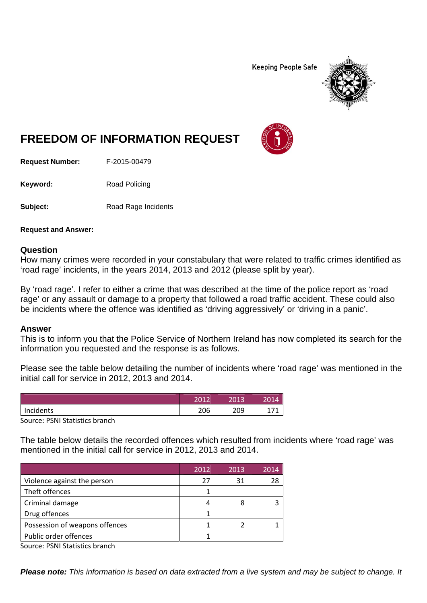**Keeping People Safe** 



## **FREEDOM OF INFORMATION REQUEST**

**Request Number:** F-2015-00479

Keyword: Road Policing

**Subject:** Road Rage Incidents

**Request and Answer:** 

## **Question**

How many crimes were recorded in your constabulary that were related to traffic crimes identified as 'road rage' incidents, in the years 2014, 2013 and 2012 (please split by year).

By 'road rage'. I refer to either a crime that was described at the time of the police report as 'road rage' or any assault or damage to a property that followed a road traffic accident. These could also be incidents where the offence was identified as 'driving aggressively' or 'driving in a panic'.

## **Answer**

This is to inform you that the Police Service of Northern Ireland has now completed its search for the information you requested and the response is as follows.

Please see the table below detailing the number of incidents where 'road rage' was mentioned in the initial call for service in 2012, 2013 and 2014.

| Incidents<br>206 | 209 |  |
|------------------|-----|--|

Source: PSNI Statistics branch

The table below details the recorded offences which resulted from incidents where 'road rage' was mentioned in the initial call for service in 2012, 2013 and 2014.

|                                | 2012 | 2013 | 2014 |
|--------------------------------|------|------|------|
| Violence against the person    | 27   | 31   | 28   |
| Theft offences                 |      |      |      |
| Criminal damage                |      |      |      |
| Drug offences                  |      |      |      |
| Possession of weapons offences |      |      |      |
| Public order offences          |      |      |      |

Source: PSNI Statistics branch

*Please note: This information is based on data extracted from a live system and may be subject to change. It*